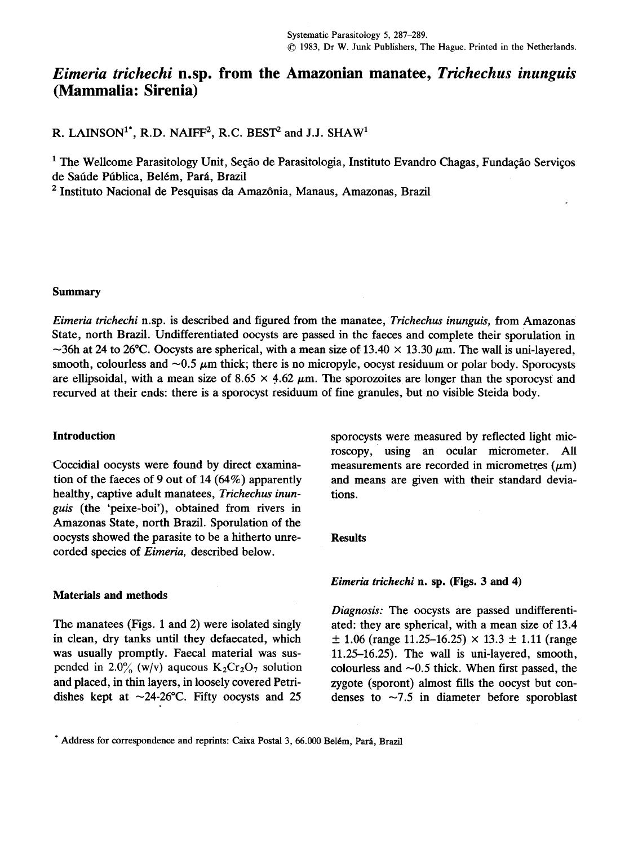# Eimeria trichechi n.sp. from the Amazonian manatee, Trichechus inunguis (Mammalia: Sirenia)

R. LAINSON<sup>1\*</sup>, R.D. NAIFF<sup>2</sup>, R.C. BEST<sup>2</sup> and J.J. SHAW<sup>1</sup>

1 The Wellcome Parasitology Unit, Seção de Parasitologia, Instituto Evandro Chagas, Fundação Serviços de Saúde Pública, Belém, Pará, Brazil

2 Instituto Nacional de Pesquisas da Amazônia, Manaus, Amazonas, Brazil

### Summary

Eimeria trichechi n.sp. is described and figured from the manatee, Trichechus inunguis, from Amazonas State, north Brazil. Undifferentiated oocysts are passed in the faeces and complete their sporulation in  $\sim$ 36h at 24 to 26°C. Oocysts are spherical, with a mean size of 13.40  $\times$  13.30  $\mu$ m. The wall is uni-layered, smooth, colourless and  $\sim 0.5$   $\mu$ m thick; there is no micropyle, oocyst residuum or polar body. Sporocysts are ellipsoidal, with a mean size of  $8.65 \times 4.62 \mu$ m. The sporozoites are longer than the sporocyst and recurved at their ends: there is a sporocyst residuum of fine granules, but no visible Steida body.

tion of the faeces of 9 out of 14 (64%) apparently and means are given with their standard deviahealthy, captive adult manatees, Trichechus inun-<br>tions. guis (the 'peixe-boi'), obtained from rivers in Amazonas State, north Brazil. Sporulation of the oocysts showed the parasite to be a hitherto unre- Results corded species of Eimeria, described below.

### MateriaIs and methods

in clean, dry tanks until they defaecated, which  $\pm 1.06$  (range 11.25-16.25)  $\times$  13.3  $\pm$  1.11 (range was usually promptly. Faecal material was sus- 11.25–16.25). The wall is uni-layered, smooth, pended in 2.0% (w/v) aqueous K<sub>2</sub>Cr<sub>2</sub>O<sub>7</sub> solution colourless and ~0.5 thick. When first passed, the and placed, in thin layers, in loosely covered Petri- zygote (sporont) almost fills the oocyst but condishes kept at  $\sim$ 24-26°C. Fifty oocysts and 25 denses to  $\sim$ 7.5 in diameter before sporoblast

Introduction sporocysts were measured by reflected light microscopy, using an ocular micrometer. All Coccidial oocysts were found by direct examina- measurements are recorded in micrometres  $(\mu m)$ 

# Eimeria trichechi n. sp. (Figs. 3 and 4)

Diagnosis: The oocysts are passed undifferenti-The manatees (Figs. 1 and 2) were isolated singly ated: they are spherical, with a mean size of 13.4

<sup>.</sup>Address for correspondence and reprints: Caixa Postal 3, 66.000 Belém, Pará, Brazil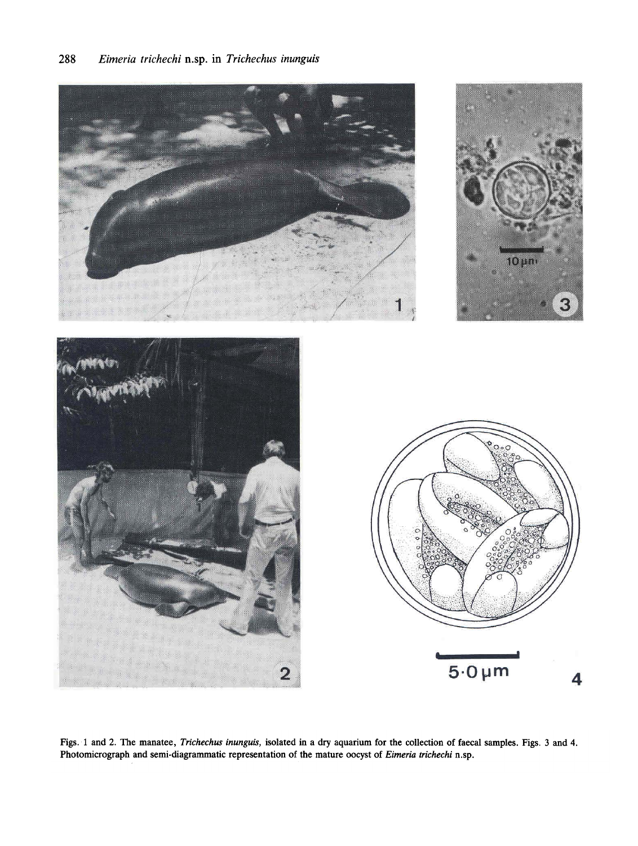







Figs. 1 and 2. The manatee, Trichechus inunguis, isolated in a dry aquarium for the collection of faecal samples. Figs. 3 and 4. Photomicrograph and semi-diagrammatic representation of the mature oocyst of Eimeria trichechi n.sp.